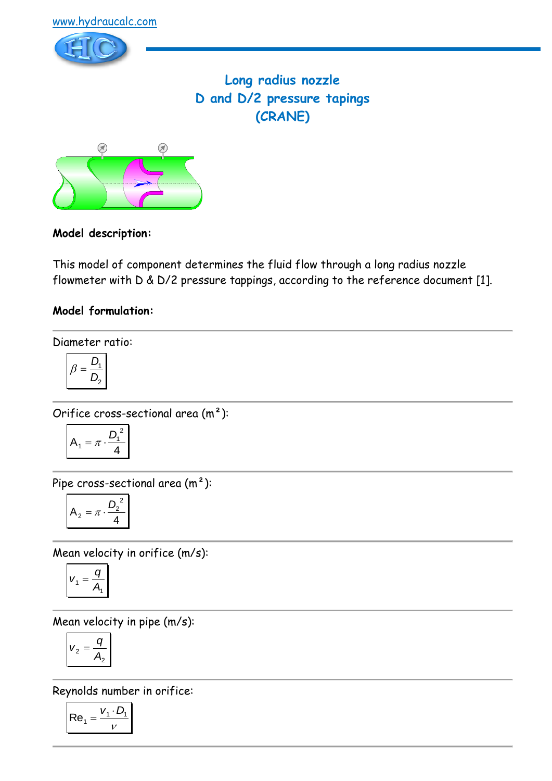

# **Long radius nozzle D and D/2 pressure tapings (CRANE)**



# **Model description:**

This model of component determines the fluid flow through a long radius nozzle flowmeter with D & D/2 pressure tappings, according to the reference document [1].

# **Model formulation:**

Diameter ratio:

$$
\beta = \frac{D_1}{D_2}
$$

Orifice cross-sectional area (m²):

$$
A_1 = \pi \cdot \frac{D_1^2}{4}
$$

Pipe cross-sectional area (m²):

$$
A_2 = \pi \cdot \frac{D_2^2}{4}
$$

Mean velocity in orifice (m/s):

$$
V_1 = \frac{q}{A_1}
$$

Mean velocity in pipe (m/s):

$$
v_2 = \frac{q}{A_2}
$$

Reynolds number in orifice:

$$
\mathsf{Re}_1 = \frac{v_1 \cdot D_1}{v}
$$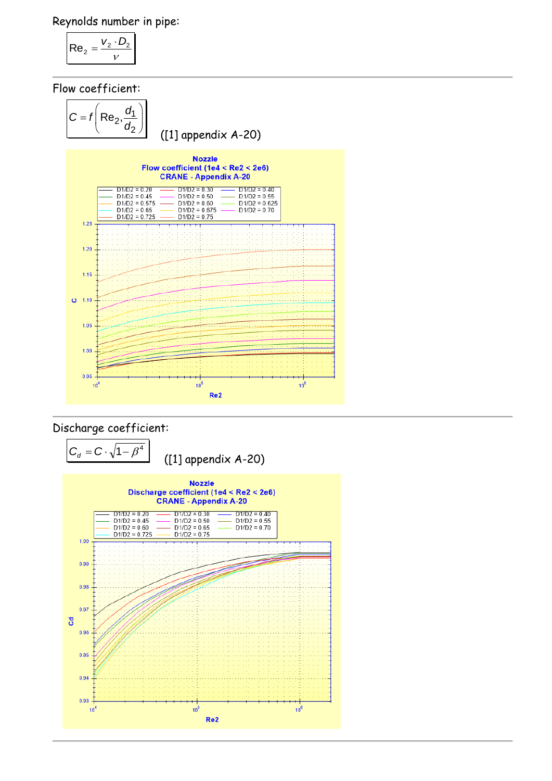Reynolds number in pipe:

$$
\mathsf{Re}_2 = \frac{v_2 \cdot D_2}{v}
$$

Flow coefficient:



## Discharge coefficient:

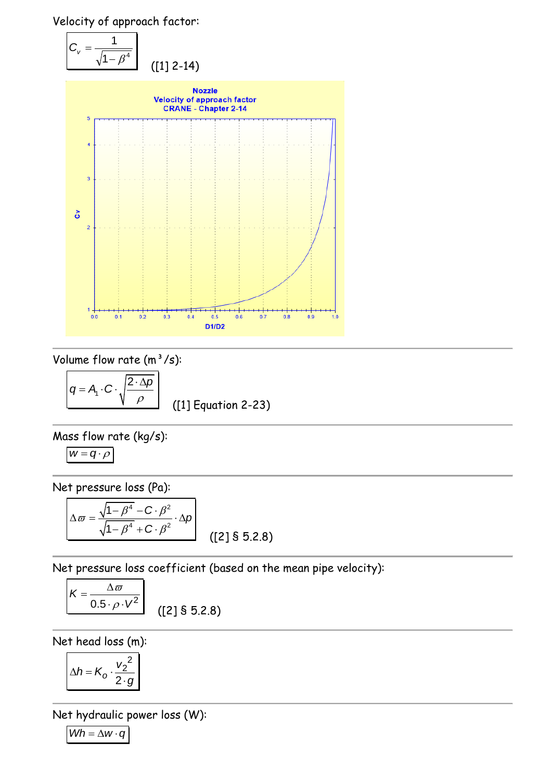Velocity of approach factor:



Volume flow rate  $(m^3/s)$ :

 $q = A_1 \cdot C \cdot \sqrt{\frac{A_1}{A_1}}$  $\overline{2 \cdot \Delta p}$  $\rho$ ([1] Equation 2-23)

Mass flow rate (kg/s):

$$
w=q\cdot \rho
$$

Net pressure loss (Pa):

$$
\Delta \varpi = \frac{\sqrt{1 - \beta^4} - C \cdot \beta^2}{\sqrt{1 - \beta^4} + C \cdot \beta^2} \cdot \Delta p
$$
 (23 § 5.2.8)

Net pressure loss coefficient (based on the mean pipe velocity):

$$
K = \frac{\Delta \varpi}{0.5 \cdot \rho \cdot V^2}
$$
 (2] \$ 5.2.8

Net head loss (m):

$$
\Delta h = K_o \cdot \frac{{v_2}^2}{2 \cdot g}
$$

Net hydraulic power loss (W):

 $Wh = \Delta w \cdot q$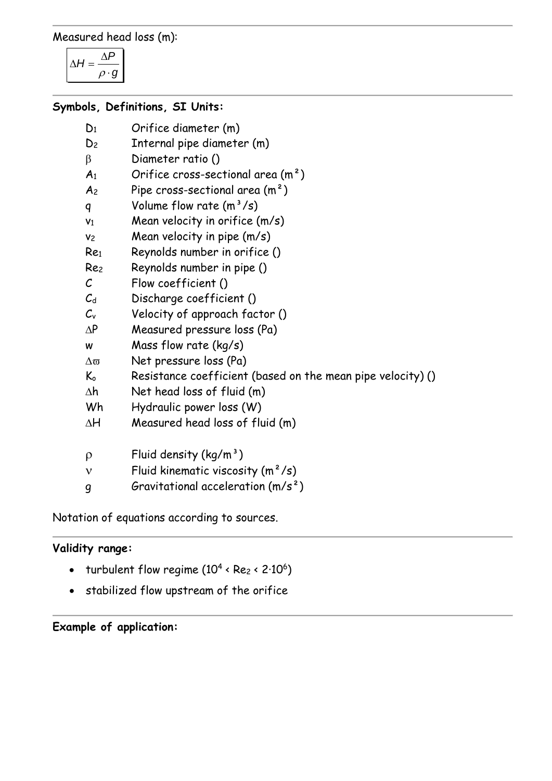Measured head loss (m):

 $H = \frac{\Delta P}{\Delta}$  $\rho \cdot g$  $\Delta H = \frac{\Delta}{4}$ .

#### **Symbols, Definitions, SI Units:**

- D<sup>1</sup> Orifice diameter (m)
- D<sup>2</sup> Internal pipe diameter (m)
- B Diameter ratio ()
- $A_1$  Orifice cross-sectional area  $(m^2)$
- $A_2$  Pipe cross-sectional area  $(m^2)$
- q Volume flow rate  $(m^3/s)$
- $v_1$  Mean velocity in orifice  $(m/s)$
- v<sub>2</sub> Mean velocity in pipe (m/s)
- Re<sup>1</sup> Reynolds number in orifice ()
- Re<sup>2</sup> Reynolds number in pipe ()
- C Flow coefficient ()
- $C_d$  Discharge coefficient ()
- $C_v$  Velocity of approach factor ()
- $\Delta P$  Measured pressure loss (Pa)
- w Mass flow rate (kg/s)
- $\Delta \varpi$  Net pressure loss (Pa)
- $K_0$  Resistance coefficient (based on the mean pipe velocity) ()
- $\Delta h$  Net head loss of fluid (m)
- Wh Hydraulic power loss (W)
- $\Delta H$  Measured head loss of fluid (m)
- $p$  Fluid density (kg/m<sup>3</sup>)
- $v$  Fluid kinematic viscosity  $(m^2/s)$
- $g$  Gravitational acceleration  $(m/s^2)$

Notation of equations according to sources.

### **Validity range:**

- turbulent flow regime  $(10^4 \cdot Re_2 \cdot 2.10^6)$
- stabilized flow upstream of the orifice

### **Example of application:**